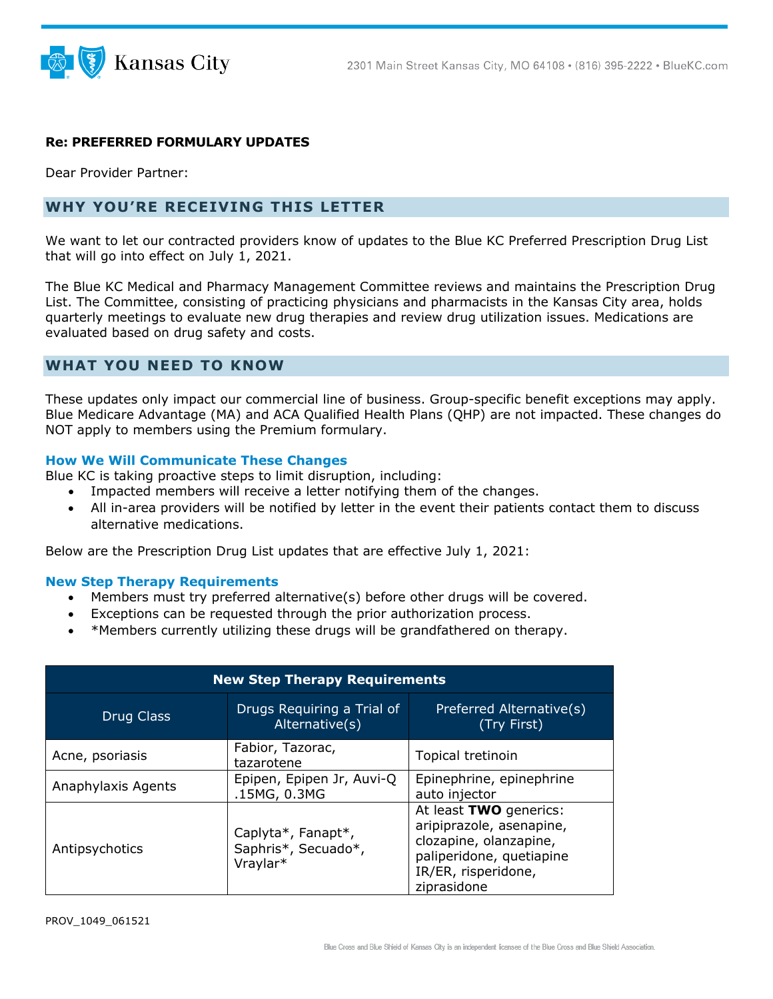

## **Re: PREFERRED FORMULARY UPDATES**

Dear Provider Partner:

## **WHY YOU'RE RECEIVING THIS LETTER**

We want to let our contracted providers know of updates to the Blue KC Preferred Prescription Drug List that will go into effect on July 1, 2021.

The Blue KC Medical and Pharmacy Management Committee reviews and maintains the Prescription Drug List. The Committee, consisting of practicing physicians and pharmacists in the Kansas City area, holds quarterly meetings to evaluate new drug therapies and review drug utilization issues. Medications are evaluated based on drug safety and costs.

## **WHAT YOU NEED TO KNOW**

These updates only impact our commercial line of business. Group-specific benefit exceptions may apply. Blue Medicare Advantage (MA) and ACA Qualified Health Plans (QHP) are not impacted. These changes do NOT apply to members using the Premium formulary.

### **How We Will Communicate These Changes**

Blue KC is taking proactive steps to limit disruption, including:

- Impacted members will receive a letter notifying them of the changes.
- All in-area providers will be notified by letter in the event their patients contact them to discuss alternative medications.

Below are the Prescription Drug List updates that are effective July 1, 2021:

#### **New Step Therapy Requirements**

- Members must try preferred alternative(s) before other drugs will be covered.
- Exceptions can be requested through the prior authorization process.
- \*Members currently utilizing these drugs will be grandfathered on therapy.

| <b>New Step Therapy Requirements</b> |                                                       |                                                                                                                                                |  |  |
|--------------------------------------|-------------------------------------------------------|------------------------------------------------------------------------------------------------------------------------------------------------|--|--|
| Drug Class                           | Drugs Requiring a Trial of<br>Alternative(s)          | Preferred Alternative(s)<br>(Try First)                                                                                                        |  |  |
| Acne, psoriasis                      | Fabior, Tazorac,<br>tazarotene                        | Topical tretinoin                                                                                                                              |  |  |
| Anaphylaxis Agents                   | Epipen, Epipen Jr, Auvi-Q<br>.15MG, 0.3MG             | Epinephrine, epinephrine<br>auto injector                                                                                                      |  |  |
| Antipsychotics                       | Caplyta*, Fanapt*,<br>Saphris*, Secuado*,<br>Vraylar* | At least TWO generics:<br>aripiprazole, asenapine,<br>clozapine, olanzapine,<br>paliperidone, quetiapine<br>IR/ER, risperidone,<br>ziprasidone |  |  |